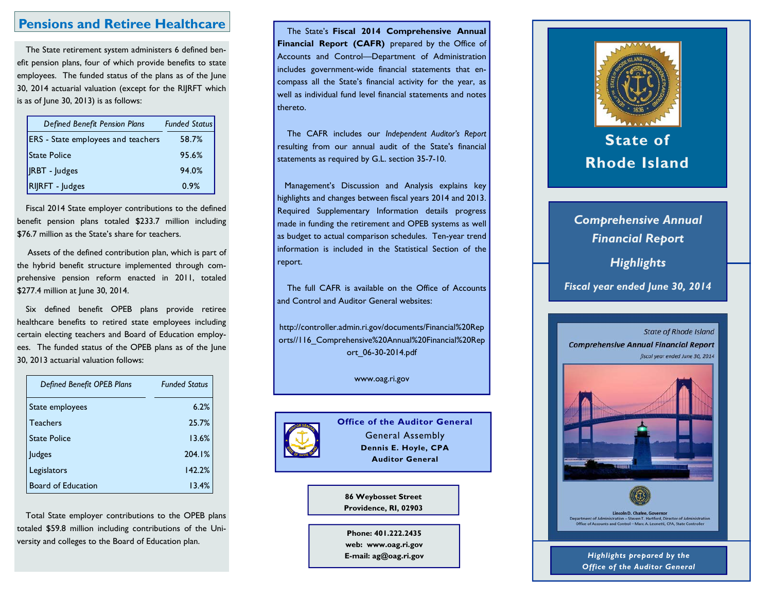# **Pensions and Retiree Healthcare**

The State retirement system administers 6 defined benefit pension plans, four of which provide benefits to state employees. The funded status of the plans as of the June 30, 2014 actuarial valuation (except for the RIJRFT which is as of June 30, 2013) is as follows:

| Defined Benefit Pension Plans             | <b>Funded Status</b> |  |  |
|-------------------------------------------|----------------------|--|--|
| <b>ERS</b> - State employees and teachers | 58.7%                |  |  |
| <b>State Police</b>                       | 95.6%                |  |  |
| <b>IRBT</b> - Judges                      | 94.0%                |  |  |
| <b>RIRFT</b> - Judges                     | 0.9%                 |  |  |

Fiscal 2014 State employer contributions to the defined benefit pension plans totaled \$233.7 million including \$76.7 million as the State's share for teachers.

 Assets of the defined contribution plan, which is part of the hybrid benefit structure implemented through comprehensive pension reform enacted in 2011, totaled \$277.4 million at June 30, 2014.

Six defined benefit OPEB plans provide retiree healthcare benefits to retired state employees including certain electing teachers and Board of Education employees. The funded status of the OPEB plans as of the June 30, 2013 actuarial valuation follows:

| <b>Defined Benefit OPEB Plans</b> | <b>Funded Status</b> |
|-----------------------------------|----------------------|
| State employees                   | 6.2%                 |
| <b>Teachers</b>                   | 25.7%                |
| <b>State Police</b>               | 13.6%                |
| Judges                            | 204.1%               |
| Legislators                       | 142.2%               |
| <b>Board of Education</b>         | 13.4%                |

Total State employer contributions to the OPEB plans totaled \$59.8 million including contributions of the University and colleges to the Board of Education plan.

 The State's **Fiscal 2014 Comprehensive Annual Financial Report (CAFR)** prepared by the Office of Accounts and Control—Department of Administration includes government-wide financial statements that encompass all the State's financial activity for the year, as well as individual fund level financial statements and notes thereto.

 The CAFR includes our *Independent Auditor's Report*  resulting from our annual audit of the State's financial statements as required by G.L. section 35-7-10.

Management's Discussion and Analysis explains key highlights and changes between fiscal years 2014 and 2013. Required Supplementary Information details progress made in funding the retirement and OPEB systems as well as budget to actual comparison schedules. Ten-year trend information is included in the Statistical Section of the report.

 The full CAFR is available on the Office of Accounts and Control and Auditor General websites:

http://controller.admin.ri.gov/documents/Financial%20Rep orts//116 Comprehensive%20Annual%20Financial%20Rep ort\_06-30-2014.pdf

www.oag.ri.gov



**Office of the Auditor General** General Assembly **Dennis E. Hoyle, CPA Auditor General** 

**86 Weybosset Street Providence, RI, 02903** 

**Phone: 401.222.2435 web: www.oag.ri.gov E-mail: ag@oag.ri.gov** 



# **State of Rhode Island**

# *Comprehensive Annual Financial Report*

*Highlights* 

*Fiscal year ended June 30, 2014*